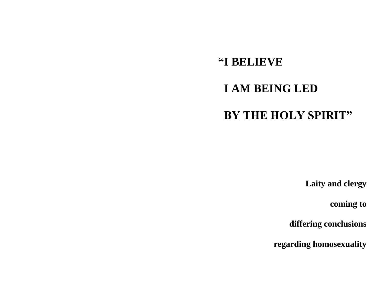# **"I BELIEVE I AM BEING LED BY THE HOLY SPIRIT"**

**Laity and clergy**

 **coming to**

 **differing conclusions**

**regarding homosexuality**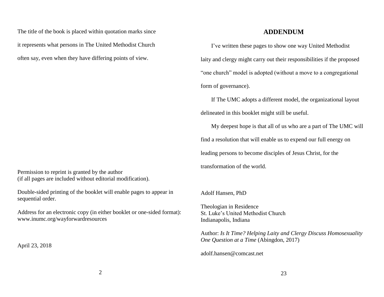The title of the book is placed within quotation marks since it represents what persons in The United Methodist Church often say, even when they have differing points of view.

Permission to reprint is granted by the author (if all pages are included without editorial modification).

Double-sided printing of the booklet will enable pages to appear in sequential order.

Address for an electronic copy (in either booklet or one-sided format): www.inumc.org/wayforwardresources

April 23, 2018

# **ADDENDUM**

I've written these pages to show one way United Methodist laity and clergy might carry out their responsibilities if the proposed "one church" model is adopted (without a move to a congregational form of governance).

If The UMC adopts a different model, the organizational layout delineated in this booklet might still be useful.

My deepest hope is that all of us who are a part of The UMC will find a resolution that will enable us to expend our full energy on leading persons to become disciples of Jesus Christ, for the transformation of the world.

Adolf Hansen, PhD

Theologian in Residence St. Luke's United Methodist Church Indianapolis, Indiana

Author: *Is It Time? Helping Laity and Clergy Discuss Homosexuality One Question at a Time* (Abingdon, 2017)

[adolf.hansen@comcast.net](mailto:adolf.hansen@comcast.net)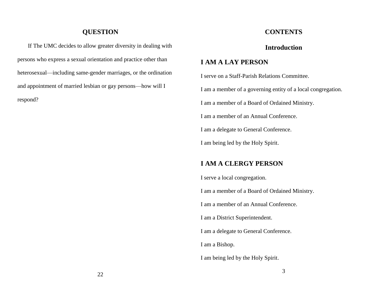# **QUESTION**

If The UMC decides to allow greater diversity in dealing with persons who express a sexual orientation and practice other than heterosexual—including same-gender marriages, or the ordination and appointment of married lesbian or gay persons—how will I respond?

# **CONTENTS**

# **Introduction**

# **I AM A LAY PERSON**

I serve on a Staff-Parish Relations Committee. I am a member of a governing entity of a local congregation. I am a member of a Board of Ordained Ministry. I am a member of an Annual Conference. I am a delegate to General Conference. I am being led by the Holy Spirit.

# **I AM A CLERGY PERSON**

I serve a local congregation. I am a member of a Board of Ordained Ministry. I am a member of an Annual Conference. I am a District Superintendent. I am a delegate to General Conference. I am a Bishop. I am being led by the Holy Spirit.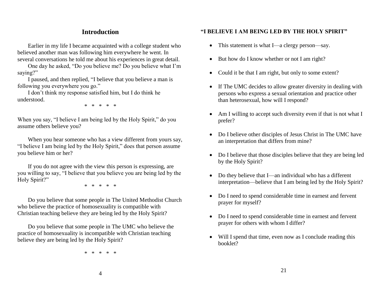# **Introduction**

Earlier in my life I became acquainted with a college student who believed another man was following him everywhere he went. In several conversations he told me about his experiences in great detail.

One day he asked, "Do you believe me? Do you believe what I'm saying?"

I paused, and then replied, "I believe that you believe a man is following you everywhere you go."

I don't think my response satisfied him, but I do think he understood.

\* \* \* \* \*

When you say, "I believe I am being led by the Holy Spirit," do you assume others believe you?

When you hear someone who has a view different from yours say, "I believe I am being led by the Holy Spirit," does that person assume you believe him or her?

If you do not agree with the view this person is expressing, are you willing to say, "I believe that you believe you are being led by the Holy Spirit?"

\* \* \* \* \*

Do you believe that some people in The United Methodist Church who believe the practice of homosexuality is compatible with Christian teaching believe they are being led by the Holy Spirit?

Do you believe that some people in The UMC who believe the practice of homosexuality is incompatible with Christian teaching believe they are being led by the Holy Spirit?

\* \* \* \* \*

# **"I BELIEVE I AM BEING LED BY THE HOLY SPIRIT"**

- This statement is what I—a clergy person—say.
- But how do I know whether or not I am right?
- Could it be that I am right, but only to some extent?
- If The UMC decides to allow greater diversity in dealing with persons who express a sexual orientation and practice other than heterosexual, how will I respond?
- Am I willing to accept such diversity even if that is not what I prefer?
- Do I believe other disciples of Jesus Christ in The UMC have an interpretation that differs from mine?
- Do I believe that those disciples believe that they are being led by the Holy Spirit?
- Do they believe that I—an individual who has a different interpretation—believe that I am being led by the Holy Spirit?
- Do I need to spend considerable time in earnest and fervent prayer for myself?
- Do I need to spend considerable time in earnest and fervent prayer for others with whom I differ?
- Will I spend that time, even now as I conclude reading this booklet?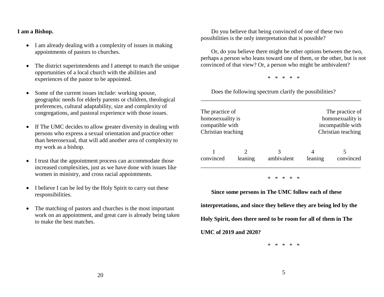### **I am a Bishop.**

- I am already dealing with a complexity of issues in making appointments of pastors to churches.
- The district superintendents and I attempt to match the unique opportunities of a local church with the abilities and experiences of the pastor to be appointed.
- Some of the current issues include: working spouse, geographic needs for elderly parents or children, theological preferences, cultural adaptability, size and complexity of congregations, and pastoral experience with those issues.
- If The UMC decides to allow greater diversity in dealing with persons who express a sexual orientation and practice other than heterosexual, that will add another area of complexity to my work as a bishop.
- I trust that the appointment process can accommodate those increased complexities, just as we have done with issues like women in ministry, and cross racial appointments.
- I believe I can be led by the Holy Spirit to carry out these responsibilities.
- The matching of pastors and churches is the most important work on an appointment, and great care is already being taken to make the best matches.

Do you believe that being convinced of one of these two possibilities is the only interpretation that is possible?

Or, do you believe there might be other options between the two, perhaps a person who leans toward one of them, or the other, but is not convinced of that view? Or, a person who might be ambivalent?

\* \* \* \* \*

\_\_\_\_\_\_\_\_\_\_\_\_\_\_\_\_\_\_\_\_\_\_\_\_\_\_\_\_\_\_\_\_\_\_\_\_\_\_\_\_\_\_\_\_\_\_\_\_\_\_\_\_\_\_\_

Does the following spectrum clarify the possibilities?

| The practice of    |         |            | The practice of    |           |
|--------------------|---------|------------|--------------------|-----------|
| homosexuality is   |         |            | homosexuality is   |           |
| compatible with    |         |            | incompatible with  |           |
| Christian teaching |         |            | Christian teaching |           |
| convinced          | leaning | ambivalent | leaning            | convinced |

\* \* \* \* \*

**Since some persons in The UMC follow each of these interpretations, and since they believe they are being led by the Holy Spirit, does there need to be room for all of them in The UMC of 2019 and 2020?**

\* \* \* \* \*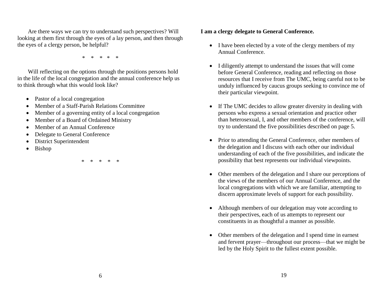Are there ways we can try to understand such perspectives? Will looking at them first through the eyes of a lay person, and then through the eyes of a clergy person, be helpful?

\* \* \* \* \*

Will reflecting on the options through the positions persons hold in the life of the local congregation and the annual conference help us to think through what this would look like?

- Pastor of a local congregation
- Member of a Staff-Parish Relations Committee
- Member of a governing entity of a local congregation
- Member of a Board of Ordained Ministry
- Member of an Annual Conference
- Delegate to General Conference
- District Superintendent
- Bishop

\* \* \* \* \*

# **I am a clergy delegate to General Conference.**

- I have been elected by a vote of the clergy members of my Annual Conference.
- I diligently attempt to understand the issues that will come before General Conference, reading and reflecting on those resources that I receive from The UMC, being careful not to be unduly influenced by caucus groups seeking to convince me of their particular viewpoint.
- If The UMC decides to allow greater diversity in dealing with persons who express a sexual orientation and practice other than heterosexual, I, and other members of the conference, will try to understand the five possibilities described on page 5.
- Prior to attending the General Conference, other members of the delegation and I discuss with each other our individual understanding of each of the five possibilities, and indicate the possibility that best represents our individual viewpoints.
- Other members of the delegation and I share our perceptions of the views of the members of our Annual Conference, and the local congregations with which we are familiar, attempting to discern approximate levels of support for each possibility.
- Although members of our delegation may vote according to their perspectives, each of us attempts to represent our constituents in as thoughtful a manner as possible.
- Other members of the delegation and I spend time in earnest and fervent prayer—throughout our process—that we might be led by the Holy Spirit to the fullest extent possible.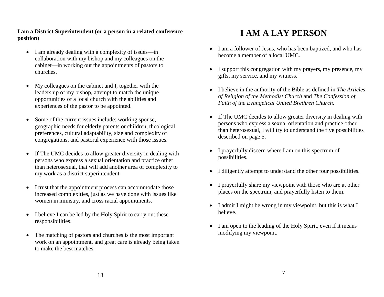# **I am a District Superintendent (or a person in a related conference position)**

- I am already dealing with a complexity of issues—in collaboration with my bishop and my colleagues on the cabinet—in working out the appointments of pastors to churches.
- My colleagues on the cabinet and I, together with the leadership of my bishop, attempt to match the unique opportunities of a local church with the abilities and experiences of the pastor to be appointed.
- Some of the current issues include: working spouse, geographic needs for elderly parents or children, theological preferences, cultural adaptability, size and complexity of congregations, and pastoral experience with those issues.
- If The UMC decides to allow greater diversity in dealing with persons who express a sexual orientation and practice other than heterosexual, that will add another area of complexity to my work as a district superintendent.
- I trust that the appointment process can accommodate those increased complexities, just as we have done with issues like women in ministry, and cross racial appointments.
- I believe I can be led by the Holy Spirit to carry out these responsibilities.
- The matching of pastors and churches is the most important work on an appointment, and great care is already being taken to make the best matches.

# **I AM A LAY PERSON**

- I am a follower of Jesus, who has been baptized, and who has become a member of a local UMC.
- I support this congregation with my prayers, my presence, my gifts, my service, and my witness.
- I believe in the authority of the Bible as defined in *The Articles of Religion of the Methodist Church* and *The Confession of Faith of the Evangelical United Brethren Church.*
- If The UMC decides to allow greater diversity in dealing with persons who express a sexual orientation and practice other than heterosexual, I will try to understand the five possibilities described on page 5.
- I prayerfully discern where I am on this spectrum of possibilities.
- I diligently attempt to understand the other four possibilities.
- I prayerfully share my viewpoint with those who are at other places on the spectrum, and prayerfully listen to them.
- I admit I might be wrong in my viewpoint, but this is what I believe.
- I am open to the leading of the Holy Spirit, even if it means modifying my viewpoint.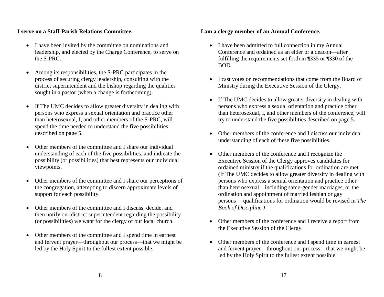### **I serve on a Staff-Parish Relations Committee.**

- I have been invited by the committee on nominations and leadership, and elected by the Charge Conference, to serve on the S-PRC.
- Among its responsibilities, the S-PRC participates in the process of securing clergy leadership, consulting with the district superintendent and the bishop regarding the qualities sought in a pastor (when a change is forthcoming).
- If The UMC decides to allow greater diversity in dealing with persons who express a sexual orientation and practice other than heterosexual, I, and other members of the S-PRC, will spend the time needed to understand the five possibilities described on page 5.
- Other members of the committee and I share our individual understanding of each of the five possibilities, and indicate the possibility (or possibilities) that best represents our individual viewpoints.
- Other members of the committee and I share our perceptions of the congregation, attempting to discern approximate levels of support for each possibility.
- Other members of the committee and I discuss, decide, and then notify our district superintendent regarding the possibility (or possibilities) we want for the clergy of our local church.
- Other members of the committee and I spend time in earnest and fervent prayer—throughout our process—that we might be led by the Holy Spirit to the fullest extent possible.

# **I am a clergy member of an Annual Conference.**

- I have been admitted to full connection in my Annual Conference and ordained as an elder or a deacon—after fulfilling the requirements set forth in ¶335 or ¶330 of the BOD.
- I cast votes on recommendations that come from the Board of Ministry during the Executive Session of the Clergy.
- If The UMC decides to allow greater diversity in dealing with persons who express a sexual orientation and practice other than heterosexual, I, and other members of the conference, will try to understand the five possibilities described on page 5.
- Other members of the conference and I discuss our individual understanding of each of these five possibilities.
- Other members of the conference and I recognize the Executive Session of the Clergy approves candidates for ordained ministry if the qualifications for ordination are met. (If The UMC decides to allow greater diversity in dealing with persons who express a sexual orientation and practice other than heterosexual—including same-gender marriages, or the ordination and appointment of married lesbian or gay persons— qualifications for ordination would be revised in *The Book of Discipline.)*
- Other members of the conference and I receive a report from the Executive Session of the Clergy.
- Other members of the conference and I spend time in earnest and fervent prayer—throughout our process—that we might be led by the Holy Spirit to the fullest extent possible.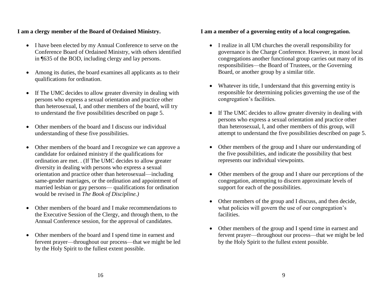### **I am a clergy member of the Board of Ordained Ministry.**

- I have been elected by my Annual Conference to serve on the Conference Board of Ordained Ministry, with others identified in ¶635 of the BOD, including clergy and lay persons.
- Among its duties, the board examines all applicants as to their qualifications for ordination.
- If The UMC decides to allow greater diversity in dealing with persons who express a sexual orientation and practice other than heterosexual, I, and other members of the board, will try to understand the five possibilities described on page 5.
- Other members of the board and I discuss our individual understanding of these five possibilities.
- Other members of the board and I recognize we can approve a candidate for ordained ministry if the qualifications for ordination are met. . (If The UMC decides to allow greater diversity in dealing with persons who express a sexual orientation and practice other than heterosexual—including same-gender marriages, or the ordination and appointment of married lesbian or gay persons— qualifications for ordination would be revised in *The Book of Discipline.)*
- Other members of the board and I make recommendations to the Executive Session of the Clergy, and through them, to the Annual Conference session, for the approval of candidates.
- Other members of the board and I spend time in earnest and fervent prayer—throughout our process—that we might be led by the Holy Spirit to the fullest extent possible.

### **I am a member of a governing entity of a local congregation.**

- I realize in all UM churches the overall responsibility for governance is the Charge Conference. However, in most local congregations another functional group carries out many of its responsibilities—the Board of Trustees, or the Governing Board, or another group by a similar title.
- Whatever its title, I understand that this governing entity is responsible for determining policies governing the use of the congregation's facilities.
- If The UMC decides to allow greater diversity in dealing with persons who express a sexual orientation and practice other than heterosexual, I, and other members of this group, will attempt to understand the five possibilities described on page 5.
- Other members of the group and I share our understanding of the five possibilities, and indicate the possibility that best represents our individual viewpoints.
- Other members of the group and I share our perceptions of the congregation, attempting to discern approximate levels of support for each of the possibilities.
- Other members of the group and I discuss, and then decide, what policies will govern the use of our congregation's facilities.
- Other members of the group and I spend time in earnest and fervent prayer—throughout our process—that we might be led by the Holy Spirit to the fullest extent possible.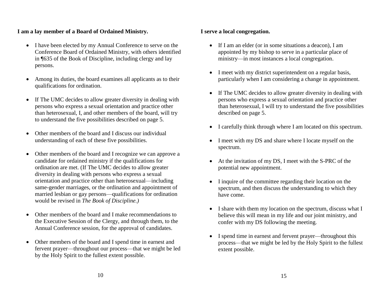### **I am a lay member of a Board of Ordained Ministry.**

- I have been elected by my Annual Conference to serve on the Conference Board of Ordained Ministry, with others identified in ¶635 of the Book of Discipline, including clergy and lay persons.
- Among its duties, the board examines all applicants as to their qualifications for ordination.
- If The UMC decides to allow greater diversity in dealing with persons who express a sexual orientation and practice other than heterosexual, I, and other members of the board, will try to understand the five possibilities described on page 5.
- Other members of the board and I discuss our individual understanding of each of these five possibilities.
- Other members of the board and I recognize we can approve a candidate for ordained ministry if the qualifications for ordination are met. (If The UMC decides to allow greater diversity in dealing with persons who express a sexual orientation and practice other than heterosexual—including same-gender marriages, or the ordination and appointment of married lesbian or gay persons—qualifications for ordination would be revised in *The Book of Discipline.)*
- Other members of the board and I make recommendations to the Executive Session of the Clergy, and through them, to the Annual Conference session, for the approval of candidates.
- Other members of the board and I spend time in earnest and fervent prayer—throughout our process—that we might be led by the Holy Spirit to the fullest extent possible.

### **I serve a local congregation.**

- If I am an elder (or in some situations a deacon), I am appointed by my bishop to serve in a particular place of ministry—in most instances a local congregation.
- I meet with my district superintendent on a regular basis, particularly when I am considering a change in appointment.
- If The UMC decides to allow greater diversity in dealing with persons who express a sexual orientation and practice other than heterosexual, I will try to understand the five possibilities described on page 5.
- I carefully think through where I am located on this spectrum.
- I meet with my DS and share where I locate myself on the spectrum.
- At the invitation of my DS, I meet with the S-PRC of the potential new appointment.
- I inquire of the committee regarding their location on the spectrum, and then discuss the understanding to which they have come.
- I share with them my location on the spectrum, discuss what I believe this will mean in my life and our joint ministry, and confer with my DS following the meeting.
- I spend time in earnest and fervent prayer—throughout this process—that we might be led by the Holy Spirit to the fullest extent possible.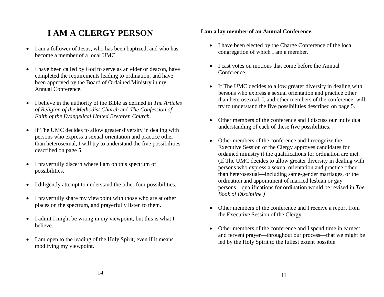# **I AM A CLERGY PERSON**

- I am a follower of Jesus, who has been baptized, and who has become a member of a local UMC.
- I have been called by God to serve as an elder or deacon, have completed the requirements leading to ordination, and have been approved by the Board of Ordained Ministry in my Annual Conference.
- I believe in the authority of the Bible as defined in *The Articles of Religion of the Methodist Church* and *The Confession of Faith of the Evangelical United Brethren Church.*
- If The UMC decides to allow greater diversity in dealing with persons who express a sexual orientation and practice other than heterosexual, I will try to understand the five possibilities described on page 5.
- I prayerfully discern where I am on this spectrum of possibilities.
- I diligently attempt to understand the other four possibilities.
- I prayerfully share my viewpoint with those who are at other places on the spectrum, and prayerfully listen to them.
- I admit I might be wrong in my viewpoint, but this is what I believe.
- I am open to the leading of the Holy Spirit, even if it means modifying my viewpoint.

# **I am a lay member of an Annual Conference.**

- I have been elected by the Charge Conference of the local congregation of which I am a member.
- I cast votes on motions that come before the Annual Conference.
- If The UMC decides to allow greater diversity in dealing with persons who express a sexual orientation and practice other than heterosexual, I, and other members of the conference, will try to understand the five possibilities described on page 5.
- Other members of the conference and I discuss our individual understanding of each of these five possibilities.
- Other members of the conference and I recognize the Executive Session of the Clergy approves candidates for ordained ministry if the qualifications for ordination are met. (If The UMC decides to allow greater diversity in dealing with persons who express a sexual orientation and practice other than heterosexual—including same-gender marriages, or the ordination and appointment of married lesbian or gay persons—qualifications for ordination would be revised in *The Book of Discipline.)*
- Other members of the conference and I receive a report from the Executive Session of the Clergy.
- Other members of the conference and I spend time in earnest and fervent prayer—throughout our process—that we might be led by the Holy Spirit to the fullest extent possible.